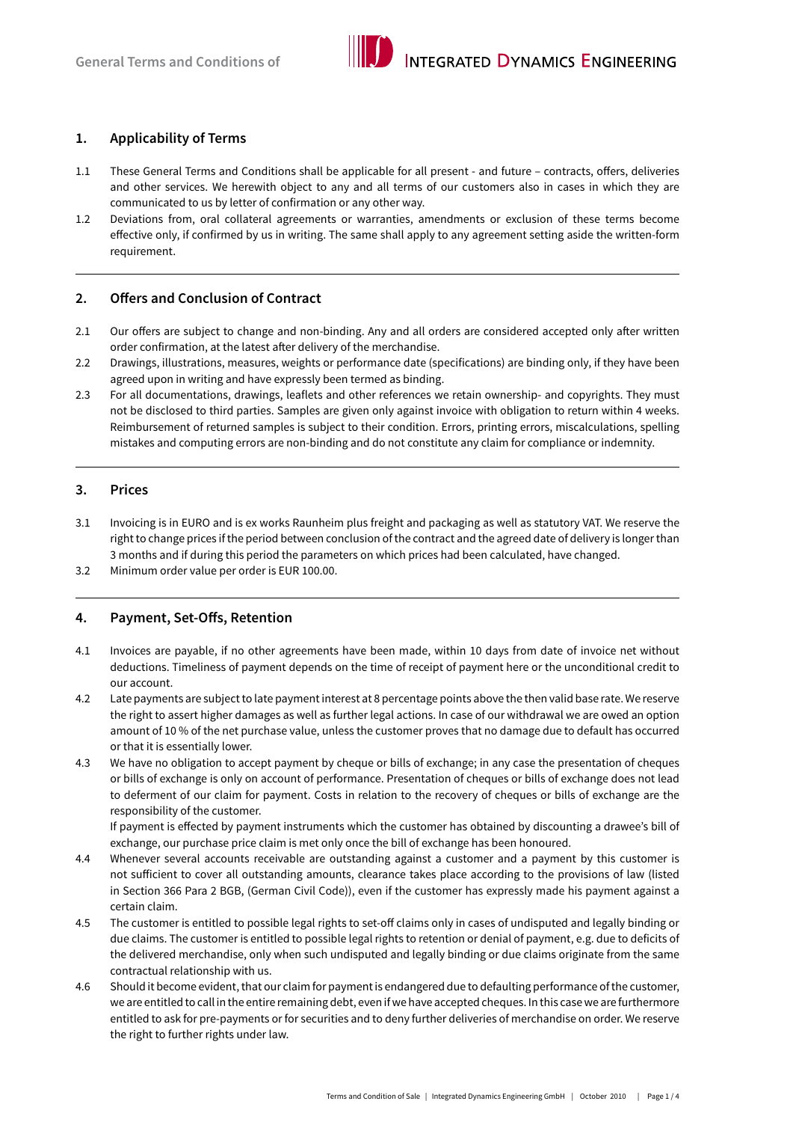

### **1. Applicability of Terms**

- 1.1 These General Terms and Conditions shall be applicable for all present and future contracts, offers, deliveries and other services. We herewith object to any and all terms of our customers also in cases in which they are communicated to us by letter of confirmation or any other way.
- 1.2 Deviations from, oral collateral agreements or warranties, amendments or exclusion of these terms become effective only, if confirmed by us in writing. The same shall apply to any agreement setting aside the written-form requirement.

## **2. Offers and Conclusion of Contract**

- 2.1 Our offers are subject to change and non-binding. Any and all orders are considered accepted only after written order confirmation, at the latest after delivery of the merchandise.
- 2.2 Drawings, illustrations, measures, weights or performance date (specifications) are binding only, if they have been agreed upon in writing and have expressly been termed as binding.
- 2.3 For all documentations, drawings, leaflets and other references we retain ownership- and copyrights. They must not be disclosed to third parties. Samples are given only against invoice with obligation to return within 4 weeks. Reimbursement of returned samples is subject to their condition. Errors, printing errors, miscalculations, spelling mistakes and computing errors are non-binding and do not constitute any claim for compliance or indemnity.

#### **3. Prices**

- 3.1 Invoicing is in EURO and is ex works Raunheim plus freight and packaging as well as statutory VAT. We reserve the right to change prices if the period between conclusion of the contract and the agreed date of delivery is longer than 3 months and if during this period the parameters on which prices had been calculated, have changed.
- 3.2 Minimum order value per order is EUR 100.00.

#### **4. Payment, Set-Offs, Retention**

- 4.1 Invoices are payable, if no other agreements have been made, within 10 days from date of invoice net without deductions. Timeliness of payment depends on the time of receipt of payment here or the unconditional credit to our account.
- 4.2 Late payments are subject to late payment interest at 8 percentage points above the then valid base rate. We reserve the right to assert higher damages as well as further legal actions. In case of our withdrawal we are owed an option amount of 10 % of the net purchase value, unless the customer proves that no damage due to default has occurred or that it is essentially lower.
- 4.3 We have no obligation to accept payment by cheque or bills of exchange; in any case the presentation of cheques or bills of exchange is only on account of performance. Presentation of cheques or bills of exchange does not lead to deferment of our claim for payment. Costs in relation to the recovery of cheques or bills of exchange are the responsibility of the customer.

If payment is effected by payment instruments which the customer has obtained by discounting a drawee's bill of exchange, our purchase price claim is met only once the bill of exchange has been honoured.

- 4.4 Whenever several accounts receivable are outstanding against a customer and a payment by this customer is not sufficient to cover all outstanding amounts, clearance takes place according to the provisions of law (listed in Section 366 Para 2 BGB, (German Civil Code)), even if the customer has expressly made his payment against a certain claim.
- 4.5 The customer is entitled to possible legal rights to set-off claims only in cases of undisputed and legally binding or due claims. The customer is entitled to possible legal rights to retention or denial of payment, e.g. due to deficits of the delivered merchandise, only when such undisputed and legally binding or due claims originate from the same contractual relationship with us.
- 4.6 Should it become evident, that our claim for payment is endangered due to defaulting performance of the customer, we are entitled to call in the entire remaining debt, even if we have accepted cheques. In this case we are furthermore entitled to ask for pre-payments or for securities and to deny further deliveries of merchandise on order. We reserve the right to further rights under law.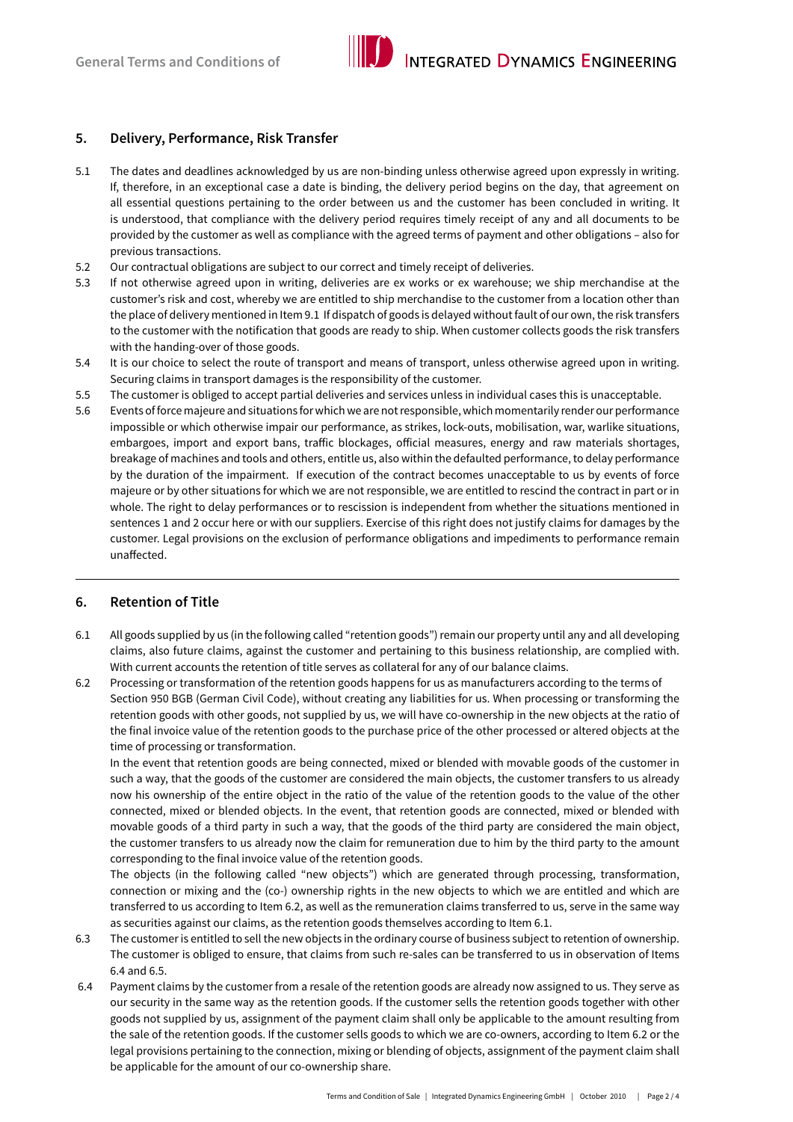

## **5. Delivery, Performance, Risk Transfer**

- 5.1 The dates and deadlines acknowledged by us are non-binding unless otherwise agreed upon expressly in writing. If, therefore, in an exceptional case a date is binding, the delivery period begins on the day, that agreement on all essential questions pertaining to the order between us and the customer has been concluded in writing. It is understood, that compliance with the delivery period requires timely receipt of any and all documents to be provided by the customer as well as compliance with the agreed terms of payment and other obligations – also for previous transactions.
- 5.2 Our contractual obligations are subject to our correct and timely receipt of deliveries.
- 5.3 If not otherwise agreed upon in writing, deliveries are ex works or ex warehouse; we ship merchandise at the customer's risk and cost, whereby we are entitled to ship merchandise to the customer from a location other than the place of delivery mentioned in Item 9.1 If dispatch of goods is delayed without fault of our own, the risk transfers to the customer with the notification that goods are ready to ship. When customer collects goods the risk transfers with the handing-over of those goods.
- 5.4 It is our choice to select the route of transport and means of transport, unless otherwise agreed upon in writing. Securing claims in transport damages is the responsibility of the customer.
- 5.5 The customer is obliged to accept partial deliveries and services unless in individual cases this is unacceptable.
- 5.6 Events of force majeure and situations for which we are not responsible, which momentarily render our performance impossible or which otherwise impair our performance, as strikes, lock-outs, mobilisation, war, warlike situations, embargoes, import and export bans, traffic blockages, official measures, energy and raw materials shortages, breakage of machines and tools and others, entitle us, also within the defaulted performance, to delay performance by the duration of the impairment. If execution of the contract becomes unacceptable to us by events of force majeure or by other situations for which we are not responsible, we are entitled to rescind the contract in part or in whole. The right to delay performances or to rescission is independent from whether the situations mentioned in sentences 1 and 2 occur here or with our suppliers. Exercise of this right does not justify claims for damages by the customer. Legal provisions on the exclusion of performance obligations and impediments to performance remain unaffected.

# **6. Retention of Title**

- 6.1 All goods supplied by us (in the following called "retention goods") remain our property until any and all developing claims, also future claims, against the customer and pertaining to this business relationship, are complied with. With current accounts the retention of title serves as collateral for any of our balance claims.
- 6.2 Processing or transformation of the retention goods happens for us as manufacturers according to the terms of Section 950 BGB (German Civil Code), without creating any liabilities for us. When processing or transforming the retention goods with other goods, not supplied by us, we will have co-ownership in the new objects at the ratio of the final invoice value of the retention goods to the purchase price of the other processed or altered objects at the time of processing or transformation.

In the event that retention goods are being connected, mixed or blended with movable goods of the customer in such a way, that the goods of the customer are considered the main objects, the customer transfers to us already now his ownership of the entire object in the ratio of the value of the retention goods to the value of the other connected, mixed or blended objects. In the event, that retention goods are connected, mixed or blended with movable goods of a third party in such a way, that the goods of the third party are considered the main object, the customer transfers to us already now the claim for remuneration due to him by the third party to the amount corresponding to the final invoice value of the retention goods.

The objects (in the following called "new objects") which are generated through processing, transformation, connection or mixing and the (co-) ownership rights in the new objects to which we are entitled and which are transferred to us according to Item 6.2, as well as the remuneration claims transferred to us, serve in the same way as securities against our claims, as the retention goods themselves according to Item 6.1.

- 6.3 The customer is entitled to sell the new objects in the ordinary course of business subject to retention of ownership. The customer is obliged to ensure, that claims from such re-sales can be transferred to us in observation of Items 6.4 and 6.5.
- 6.4 Payment claims by the customer from a resale of the retention goods are already now assigned to us. They serve as our security in the same way as the retention goods. If the customer sells the retention goods together with other goods not supplied by us, assignment of the payment claim shall only be applicable to the amount resulting from the sale of the retention goods. If the customer sells goods to which we are co-owners, according to Item 6.2 or the legal provisions pertaining to the connection, mixing or blending of objects, assignment of the payment claim shall be applicable for the amount of our co-ownership share.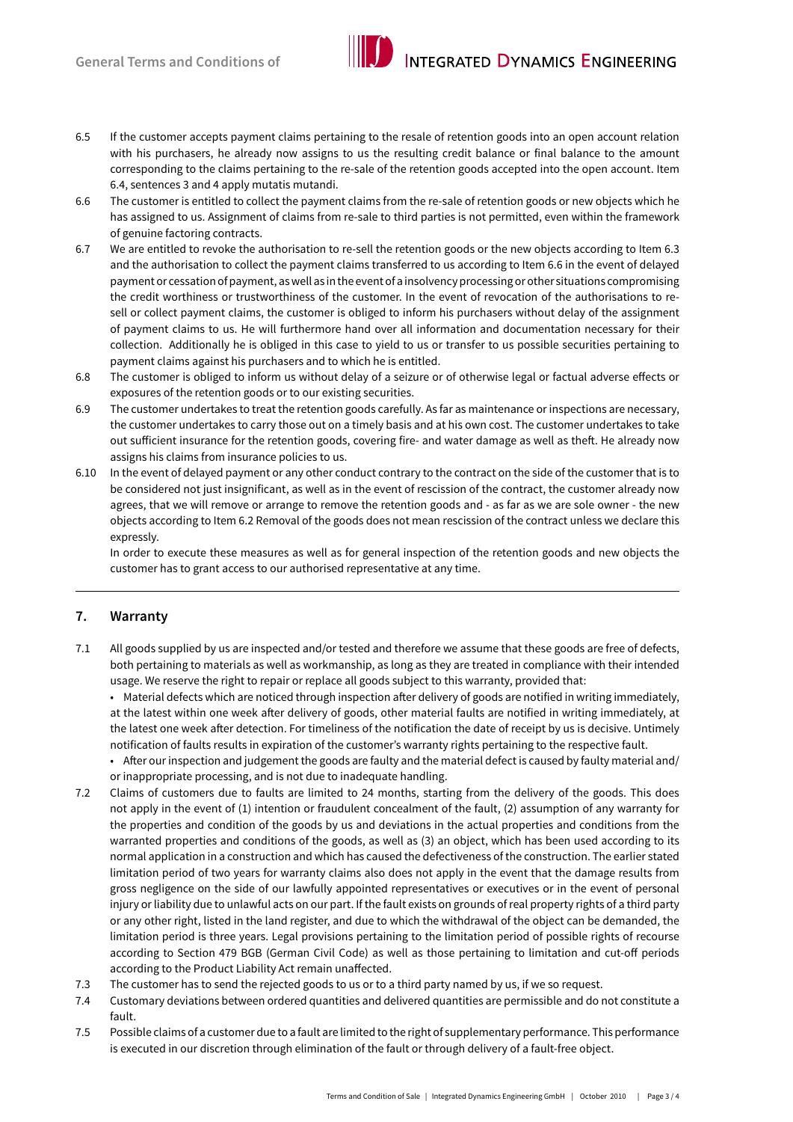

- 6.5 If the customer accepts payment claims pertaining to the resale of retention goods into an open account relation with his purchasers, he already now assigns to us the resulting credit balance or final balance to the amount corresponding to the claims pertaining to the re-sale of the retention goods accepted into the open account. Item 6.4, sentences 3 and 4 apply mutatis mutandi.
- 6.6 The customer is entitled to collect the payment claims from the re-sale of retention goods or new objects which he has assigned to us. Assignment of claims from re-sale to third parties is not permitted, even within the framework of genuine factoring contracts.
- 6.7 We are entitled to revoke the authorisation to re-sell the retention goods or the new objects according to Item 6.3 and the authorisation to collect the payment claims transferred to us according to Item 6.6 in the event of delayed payment or cessation of payment, as well as in the event of a insolvency processing or other situations compromising the credit worthiness or trustworthiness of the customer. In the event of revocation of the authorisations to resell or collect payment claims, the customer is obliged to inform his purchasers without delay of the assignment of payment claims to us. He will furthermore hand over all information and documentation necessary for their collection. Additionally he is obliged in this case to yield to us or transfer to us possible securities pertaining to payment claims against his purchasers and to which he is entitled.
- 6.8 The customer is obliged to inform us without delay of a seizure or of otherwise legal or factual adverse effects or exposures of the retention goods or to our existing securities.
- 6.9 The customer undertakes to treat the retention goods carefully. As far as maintenance or inspections are necessary, the customer undertakes to carry those out on a timely basis and at his own cost. The customer undertakes to take out sufficient insurance for the retention goods, covering fire- and water damage as well as theft. He already now assigns his claims from insurance policies to us.
- 6.10 In the event of delayed payment or any other conduct contrary to the contract on the side of the customer that is to be considered not just insignificant, as well as in the event of rescission of the contract, the customer already now agrees, that we will remove or arrange to remove the retention goods and - as far as we are sole owner - the new objects according to Item 6.2 Removal of the goods does not mean rescission of the contract unless we declare this expressly.

In order to execute these measures as well as for general inspection of the retention goods and new objects the customer has to grant access to our authorised representative at any time.

# **7. Warranty**

7.1 All goods supplied by us are inspected and/or tested and therefore we assume that these goods are free of defects, both pertaining to materials as well as workmanship, as long as they are treated in compliance with their intended usage. We reserve the right to repair or replace all goods subject to this warranty, provided that:

 • Material defects which are noticed through inspection after delivery of goods are notified in writing immediately, at the latest within one week after delivery of goods, other material faults are notified in writing immediately, at the latest one week after detection. For timeliness of the notification the date of receipt by us is decisive. Untimely notification of faults results in expiration of the customer's warranty rights pertaining to the respective fault.

- • After ourinspection and judgement the goods are faulty and the material defect is caused by faulty material and/ or inappropriate processing, and is not due to inadequate handling.
- 7.2 Claims of customers due to faults are limited to 24 months, starting from the delivery of the goods. This does not apply in the event of (1) intention or fraudulent concealment of the fault, (2) assumption of any warranty for the properties and condition of the goods by us and deviations in the actual properties and conditions from the warranted properties and conditions of the goods, as well as (3) an object, which has been used according to its normal application in a construction and which has caused the defectiveness of the construction. The earlier stated limitation period of two years for warranty claims also does not apply in the event that the damage results from gross negligence on the side of our lawfully appointed representatives or executives or in the event of personal injury or liability due to unlawful acts on our part. If the fault exists on grounds of real property rights of a third party or any other right, listed in the land register, and due to which the withdrawal of the object can be demanded, the limitation period is three years. Legal provisions pertaining to the limitation period of possible rights of recourse according to Section 479 BGB (German Civil Code) as well as those pertaining to limitation and cut-off periods according to the Product Liability Act remain unaffected.
- 7.3 The customer has to send the rejected goods to us or to a third party named by us, if we so request.
- 7.4 Customary deviations between ordered quantities and delivered quantities are permissible and do not constitute a fault.
- 7.5 Possible claims of a customer due to a fault are limited to the right of supplementary performance. This performance is executed in our discretion through elimination of the fault or through delivery of a fault-free object.